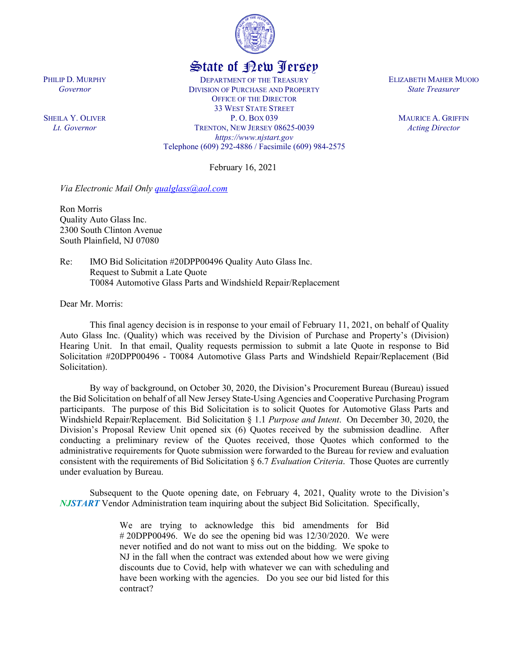

## State of New Jersey

DEPARTMENT OF THE TREASURY DIVISION OF PURCHASE AND PROPERTY OFFICE OF THE DIRECTOR 33 WEST STATE STREET P. O. BOX 039 TRENTON, NEW JERSEY 08625-0039 *https://www.njstart.gov* Telephone (609) 292-4886 / Facsimile (609) 984-2575

February 16, 2021

*Via Electronic Mail Only [qualglass@aol.com](mailto:qualglass@aol.com)*

Ron Morris Quality Auto Glass Inc. 2300 South Clinton Avenue South Plainfield, NJ 07080

Re: IMO Bid Solicitation #20DPP00496 Quality Auto Glass Inc. Request to Submit a Late Quote T0084 Automotive Glass Parts and Windshield Repair/Replacement

Dear Mr. Morris:

This final agency decision is in response to your email of February 11, 2021, on behalf of Quality Auto Glass Inc. (Quality) which was received by the Division of Purchase and Property's (Division) Hearing Unit. In that email, Quality requests permission to submit a late Quote in response to Bid Solicitation #20DPP00496 - T0084 Automotive Glass Parts and Windshield Repair/Replacement (Bid Solicitation).

By way of background, on October 30, 2020, the Division's Procurement Bureau (Bureau) issued the Bid Solicitation on behalf of all New Jersey State-Using Agencies and Cooperative Purchasing Program participants. The purpose of this Bid Solicitation is to solicit Quotes for Automotive Glass Parts and Windshield Repair/Replacement. Bid Solicitation § 1.1 *Purpose and Intent*. On December 30, 2020, the Division's Proposal Review Unit opened six (6) Quotes received by the submission deadline. After conducting a preliminary review of the Quotes received, those Quotes which conformed to the administrative requirements for Quote submission were forwarded to the Bureau for review and evaluation consistent with the requirements of Bid Solicitation § 6.7 *Evaluation Criteria*. Those Quotes are currently under evaluation by Bureau.

Subsequent to the Quote opening date, on February 4, 2021, Quality wrote to the Division's *NJSTART* Vendor Administration team inquiring about the subject Bid Solicitation. Specifically,

> We are trying to acknowledge this bid amendments for Bid  $\#$  20DPP00496. We do see the opening bid was 12/30/2020. We were never notified and do not want to miss out on the bidding. We spoke to NJ in the fall when the contract was extended about how we were giving discounts due to Covid, help with whatever we can with scheduling and have been working with the agencies. Do you see our bid listed for this contract?

ELIZABETH MAHER MUOIO *State Treasurer*

> MAURICE A. GRIFFIN *Acting Director*

PHILIP D. MURPHY *Governor*

SHEILA Y. OLIVER *Lt. Governor*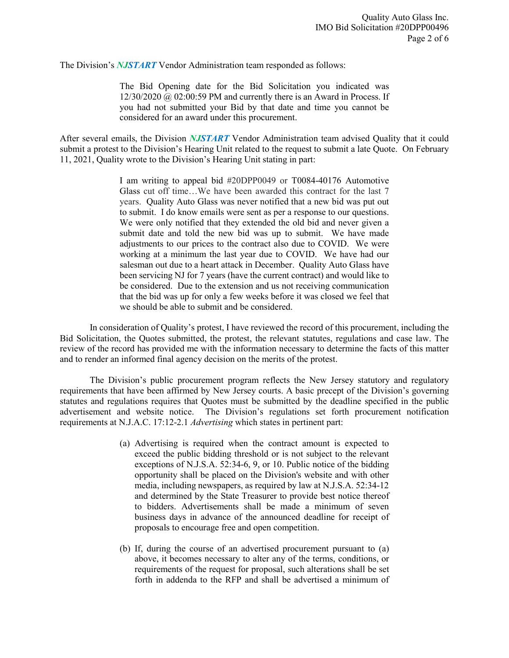The Division's *NJSTART* Vendor Administration team responded as follows:

The Bid Opening date for the Bid Solicitation you indicated was  $12/30/2020$  @ 02:00:59 PM and currently there is an Award in Process. If you had not submitted your Bid by that date and time you cannot be considered for an award under this procurement.

After several emails, the Division *NJSTART* Vendor Administration team advised Quality that it could submit a protest to the Division's Hearing Unit related to the request to submit a late Quote. On February 11, 2021, Quality wrote to the Division's Hearing Unit stating in part:

> I am writing to appeal bid #20DPP0049 or T0084-40176 Automotive Glass cut off time…We have been awarded this contract for the last 7 years. Quality Auto Glass was never notified that a new bid was put out to submit. I do know emails were sent as per a response to our questions. We were only notified that they extended the old bid and never given a submit date and told the new bid was up to submit. We have made adjustments to our prices to the contract also due to COVID. We were working at a minimum the last year due to COVID. We have had our salesman out due to a heart attack in December. Quality Auto Glass have been servicing NJ for 7 years (have the current contract) and would like to be considered. Due to the extension and us not receiving communication that the bid was up for only a few weeks before it was closed we feel that we should be able to submit and be considered.

In consideration of Quality's protest, I have reviewed the record of this procurement, including the Bid Solicitation, the Quotes submitted, the protest, the relevant statutes, regulations and case law. The review of the record has provided me with the information necessary to determine the facts of this matter and to render an informed final agency decision on the merits of the protest.

The Division's public procurement program reflects the New Jersey statutory and regulatory requirements that have been affirmed by New Jersey courts. A basic precept of the Division's governing statutes and regulations requires that Quotes must be submitted by the deadline specified in the public advertisement and website notice. The Division's regulations set forth procurement notification requirements at N.J.A.C. 17:12-2.1 *Advertising* which states in pertinent part:

- (a) Advertising is required when the contract amount is expected to exceed the public bidding threshold or is not subject to the relevant exceptions of N.J.S.A. 52:34-6, 9, or 10. Public notice of the bidding opportunity shall be placed on the Division's website and with other media, including newspapers, as required by law at N.J.S.A. 52:34-12 and determined by the State Treasurer to provide best notice thereof to bidders. Advertisements shall be made a minimum of seven business days in advance of the announced deadline for receipt of proposals to encourage free and open competition.
- (b) If, during the course of an advertised procurement pursuant to (a) above, it becomes necessary to alter any of the terms, conditions, or requirements of the request for proposal, such alterations shall be set forth in addenda to the RFP and shall be advertised a minimum of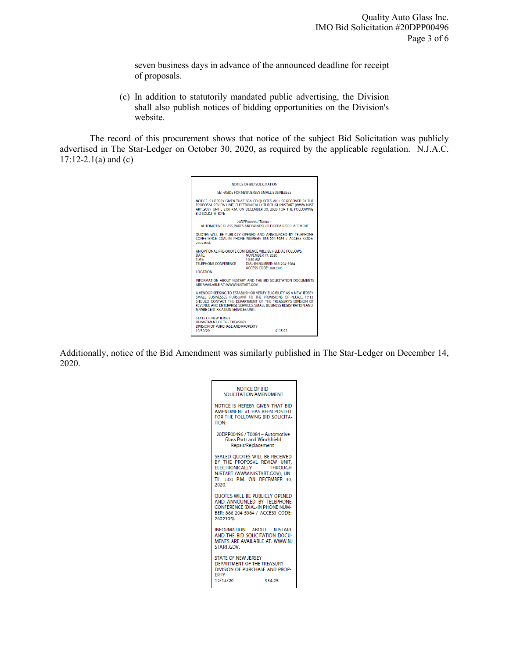seven business days in advance of the announced deadline for receipt of proposals.

(c) In addition to statutorily mandated public advertising, the Division shall also publish notices of bidding opportunities on the Division's website.

The record of this procurement shows that notice of the subject Bid Solicitation was publicly advertised in The Star-Ledger on October 30, 2020, as required by the applicable regulation. N.J.A.C.  $17:12-2.1(a)$  and (c)



Additionally, notice of the Bid Amendment was similarly published in The Star-Ledger on December 14, 2020.

| NOTICE OF BID<br>SOLICITATION AMENDMENT                                                                                                                                        |
|--------------------------------------------------------------------------------------------------------------------------------------------------------------------------------|
| NOTICE IS HEREBY GIVEN THAT BID<br>AMENDMENT #1 HAS BEEN POSTED<br>FOR THE FOLLOWING BID SOLICITA-<br><b>TION:</b>                                                             |
| 20DPP00496 / T0084 - Automotive<br><b>Glass Parts and Windshield</b><br>Repair/Replacement                                                                                     |
| SEALED OUOTES WILL BE RECEIVED<br>BY THE PROPOSAL REVIEW UNIT.<br>ELECTRONICALLY<br><b>THROUGH</b><br>NJSTART (WWW.NJSTART.GOV), UN-<br>TIL 2:00 P.M. ON DECEMBER 30.<br>2020. |
| <b>OUOTES WILL BE PUBLICLY OPENED</b><br>AND ANNOUNCED BY TELEPHONE<br><b>CONFERENCE (DIAL-IN PHONE NUM-</b><br>BER: 888-204-5984 / ACCESS CODE:<br>2602305).                  |
| INFORMATION ABOUT NJSTART<br>AND THE BID SOLICITATION DOCU-<br>MENTS ARE AVAILABLE AT: WWW.NJ<br>START.GOV.                                                                    |
| <b>STATE OF NEW JERSEY</b><br>DEPARTMENT OF THE TREASURY.<br>DIVISION OF PURCHASE AND PROP-<br><b>ERTY</b><br>12/14/20<br>\$54.25                                              |
|                                                                                                                                                                                |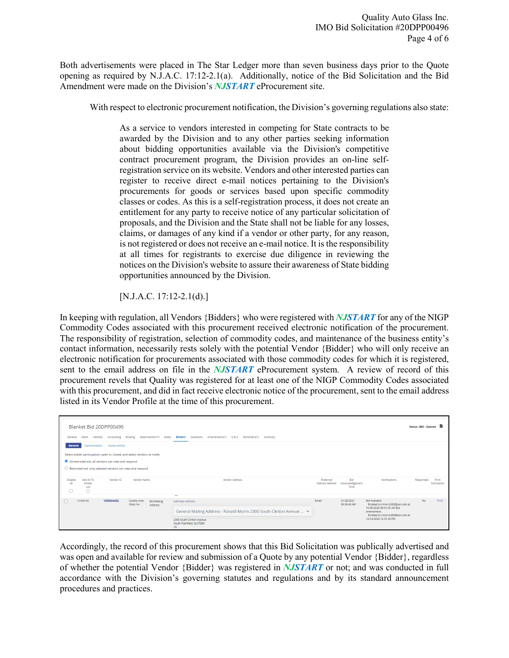Both advertisements were placed in The Star Ledger more than seven business days prior to the Quote opening as required by N.J.A.C. 17:12-2.1(a). Additionally, notice of the Bid Solicitation and the Bid Amendment were made on the Division's *NJSTART* eProcurement site.

With respect to electronic procurement notification, the Division's governing regulations also state:

As a service to vendors interested in competing for State contracts to be awarded by the Division and to any other parties seeking information about bidding opportunities available via the Division's competitive contract procurement program, the Division provides an on-line selfregistration service on its website. Vendors and other interested parties can register to receive direct e-mail notices pertaining to the Division's procurements for goods or services based upon specific commodity classes or codes. As this is a self-registration process, it does not create an entitlement for any party to receive notice of any particular solicitation of proposals, and the Division and the State shall not be liable for any losses, claims, or damages of any kind if a vendor or other party, for any reason, is not registered or does not receive an e-mail notice. It is the responsibility at all times for registrants to exercise due diligence in reviewing the notices on the Division's website to assure their awareness of State bidding opportunities announced by the Division.

[N.J.A.C. 17:12-2.1(d).]

In keeping with regulation, all Vendors {Bidders} who were registered with *NJSTART* for any of the NIGP Commodity Codes associated with this procurement received electronic notification of the procurement. The responsibility of registration, selection of commodity codes, and maintenance of the business entity's contact information, necessarily rests solely with the potential Vendor {Bidder} who will only receive an electronic notification for procurements associated with those commodity codes for which it is registered, sent to the email address on file in the *NJSTART* eProcurement system. A review of record of this procurement revels that Quality was registered for at least one of the NIGP Commodity Codes associated with this procurement, and did in fact receive electronic notice of the procurement, sent to the email address listed in its Vendor Profile at the time of this procurement.

| Blanket Bid 20DPP00496<br>Routing Attachments(17) Notes Bidders Questions Amendments(1) Q & A Reminders(1) Summary<br>Accounting<br>Address<br>General<br>Items                                                                                           |                                   |           |                                   |                                |                                                                                                                                                                     |                              |                                       |                                                                                                                                                              | Status: 2BO - Opened ■ |                       |
|-----------------------------------------------------------------------------------------------------------------------------------------------------------------------------------------------------------------------------------------------------------|-----------------------------------|-----------|-----------------------------------|--------------------------------|---------------------------------------------------------------------------------------------------------------------------------------------------------------------|------------------------------|---------------------------------------|--------------------------------------------------------------------------------------------------------------------------------------------------------------|------------------------|-----------------------|
| Quote Activity<br>Subcontractors<br>General<br>Select bidder participation, open or closed, and select vendors to notify<br>O Unrestricted bid, all vendors can view and respond<br>$\bigcirc$ Restricted bid, only selected vendors can view and respond |                                   |           |                                   |                                |                                                                                                                                                                     |                              |                                       |                                                                                                                                                              |                        |                       |
| Disable<br>All<br>$\Box$                                                                                                                                                                                                                                  | Add All To<br>Holder<br>List<br>Π | Vendor ID | Vendor Name                       |                                | Vendor Address<br>$\sim$ $\sim$                                                                                                                                     | Preferred<br>Delivery Method | <b>Bid</b><br>Acknowledgement<br>Time | Notifications                                                                                                                                                | Responded              | Print<br>Solicitation |
|                                                                                                                                                                                                                                                           | in the list                       | V00004492 | <b>Quality Auto</b><br>Glass Inc. | <b>Bid Mailing</b><br>Address: | Add New Address<br>General Mailing Address - Ronald Morris 2300 South Clinton Avenue $\vee$<br>2300 South Clinton Avenue<br>South Plainfield, NJ 07080<br><b>US</b> | Email                        | 01/28/2021<br>09:36:48 AM             | Bid Available:<br>Emailed to rmorris383@aol.com at<br>10/30/2020 09:01:50 AM Bid<br>Amendment:<br>Emailed to rmorris383@aol.com at<br>12/14/2020 12:51:43 PM | No.                    | Print                 |

Accordingly, the record of this procurement shows that this Bid Solicitation was publically advertised and was open and available for review and submission of a Quote by any potential Vendor {Bidder}, regardless of whether the potential Vendor {Bidder} was registered in *NJSTART* or not; and was conducted in full accordance with the Division's governing statutes and regulations and by its standard announcement procedures and practices.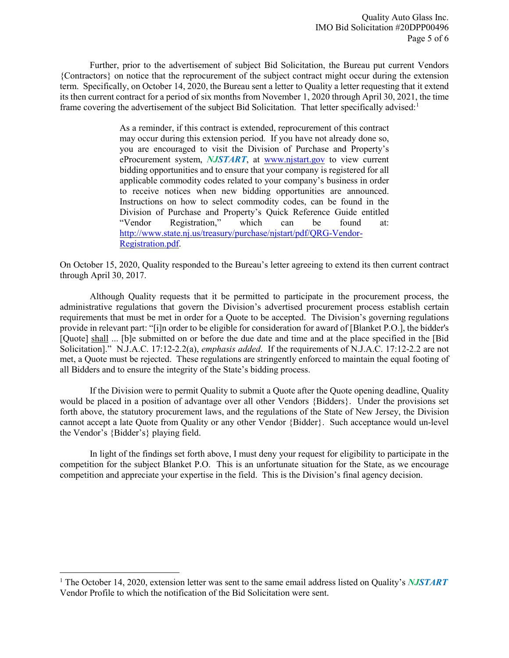Further, prior to the advertisement of subject Bid Solicitation, the Bureau put current Vendors {Contractors} on notice that the reprocurement of the subject contract might occur during the extension term. Specifically, on October 14, 2020, the Bureau sent a letter to Quality a letter requesting that it extend its then current contract for a period of six months from November 1, 2020 through April 30, 2021, the time frame covering the advertisement of the subject Bid Solicitation. That letter specifically advised:<sup>[1](#page-4-0)</sup>

> As a reminder, if this contract is extended, reprocurement of this contract may occur during this extension period. If you have not already done so, you are encouraged to visit the Division of Purchase and Property's eProcurement system, *NJSTART*, at [www.njstart.gov](http://www.njstart.gov/) to view current bidding opportunities and to ensure that your company is registered for all applicable commodity codes related to your company's business in order to receive notices when new bidding opportunities are announced. Instructions on how to select commodity codes, can be found in the Division of Purchase and Property's Quick Reference Guide entitled "Vendor Registration," which can be found at: [http://www.state.nj.us/treasury/purchase/njstart/pdf/QRG-Vendor-](http://www.state.nj.us/treasury/purchase/njstart/pdf/QRG-Vendor-Registration.pdf)[Registration.pdf.](http://www.state.nj.us/treasury/purchase/njstart/pdf/QRG-Vendor-Registration.pdf)

On October 15, 2020, Quality responded to the Bureau's letter agreeing to extend its then current contract through April 30, 2017.

Although Quality requests that it be permitted to participate in the procurement process, the administrative regulations that govern the Division's advertised procurement process establish certain requirements that must be met in order for a Quote to be accepted. The Division's governing regulations provide in relevant part: "[i]n order to be eligible for consideration for award of [Blanket P.O.], the bidder's [Quote] shall ... [b]e submitted on or before the due date and time and at the place specified in the [Bid Solicitation]." N.J.A.C. 17:12-2.2(a), *emphasis added*. If the requirements of N.J.A.C. 17:12-2.2 are not met, a Quote must be rejected. These regulations are stringently enforced to maintain the equal footing of all Bidders and to ensure the integrity of the State's bidding process.

If the Division were to permit Quality to submit a Quote after the Quote opening deadline, Quality would be placed in a position of advantage over all other Vendors {Bidders}. Under the provisions set forth above, the statutory procurement laws, and the regulations of the State of New Jersey, the Division cannot accept a late Quote from Quality or any other Vendor {Bidder}. Such acceptance would un-level the Vendor's {Bidder's} playing field.

In light of the findings set forth above, I must deny your request for eligibility to participate in the competition for the subject Blanket P.O. This is an unfortunate situation for the State, as we encourage competition and appreciate your expertise in the field. This is the Division's final agency decision.

l

<span id="page-4-0"></span><sup>&</sup>lt;sup>1</sup> The October 14, 2020, extension letter was sent to the same email address listed on Quality's **NJSTART** Vendor Profile to which the notification of the Bid Solicitation were sent.